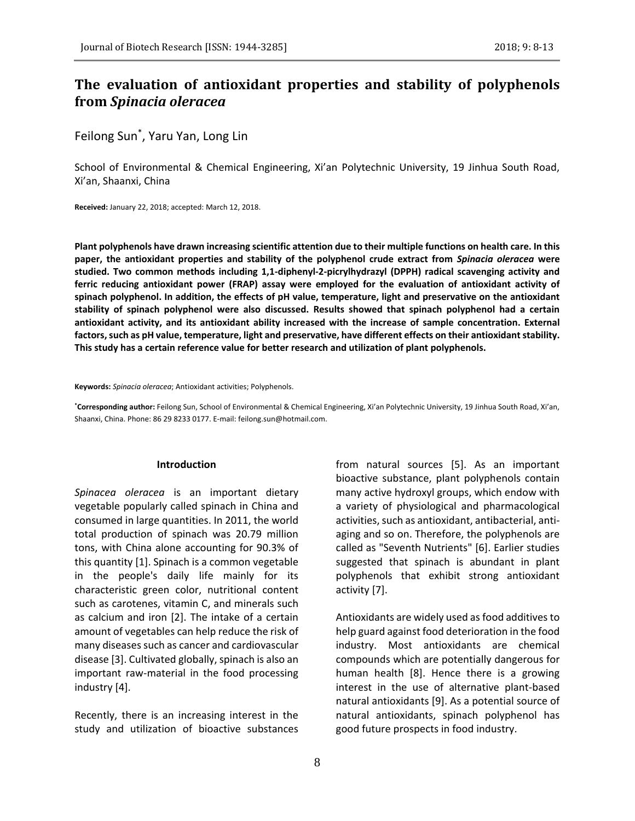# **The evaluation of antioxidant properties and stability of polyphenols from** *Spinacia oleracea*

# Feilong Sun\* , Yaru Yan, Long Lin

School of Environmental & Chemical Engineering, Xi'an Polytechnic University, 19 Jinhua South Road, Xi'an, Shaanxi, China

**Received:** January 22, 2018; accepted: March 12, 2018.

**Plant polyphenols have drawn increasing scientific attention due to their multiple functions on health care. In this paper, the antioxidant properties and stability of the polyphenol crude extract from** *Spinacia oleracea* **were studied. Two common methods including 1,1-diphenyl-2-picrylhydrazyl (DPPH) radical scavenging activity and ferric reducing antioxidant power (FRAP) assay were employed for the evaluation of antioxidant activity of spinach polyphenol. In addition, the effects of pH value, temperature, light and preservative on the antioxidant stability of spinach polyphenol were also discussed. Results showed that spinach polyphenol had a certain antioxidant activity, and its antioxidant ability increased with the increase of sample concentration. External**  factors, such as pH value, temperature, light and preservative, have different effects on their antioxidant stability. **This study has a certain reference value for better research and utilization of plant polyphenols.**

**Keywords:** *Spinacia oleracea*; Antioxidant activities; Polyphenols.

**\*Corresponding author:** Feilong Sun, School of Environmental & Chemical Engineering, Xi'an Polytechnic University, 19 Jinhua South Road, Xi'an, Shaanxi, China. Phone: 86 29 8233 0177. E-mail: feilong.sun@hotmail.com.

#### **Introduction**

*Spinacea oleracea* is an important dietary vegetable popularly called spinach in China and consumed in large quantities. In 2011, the world total production of spinach was 20.79 million tons, with China alone accounting for 90.3% of this quantity [1]. Spinach is a common vegetable in the people's daily life mainly for its characteristic green color, nutritional content such as carotenes, vitamin C, and minerals such as calcium and iron [2]. The intake of a certain amount of vegetables can help reduce the risk of many diseases such as cancer and cardiovascular disease [3]. Cultivated globally, spinach is also an important raw-material in the food processing industry [4].

Recently, there is an increasing interest in the study and utilization of bioactive substances

8

from natural sources [5]. As an important bioactive substance, plant polyphenols contain many active hydroxyl groups, which endow with a variety of physiological and pharmacological activities, such as antioxidant, antibacterial, antiaging and so on. Therefore, the polyphenols are called as "Seventh Nutrients" [6]. Earlier studies suggested that spinach is abundant in plant polyphenols that exhibit strong antioxidant activity [7].

Antioxidants are widely used as food additives to help guard against food deterioration in the food industry. Most antioxidants are chemical compounds which are potentially dangerous for human health [8]. Hence there is a growing interest in the use of alternative plant-based natural antioxidants [9]. As a potential source of natural antioxidants, spinach polyphenol has good future prospects in food industry.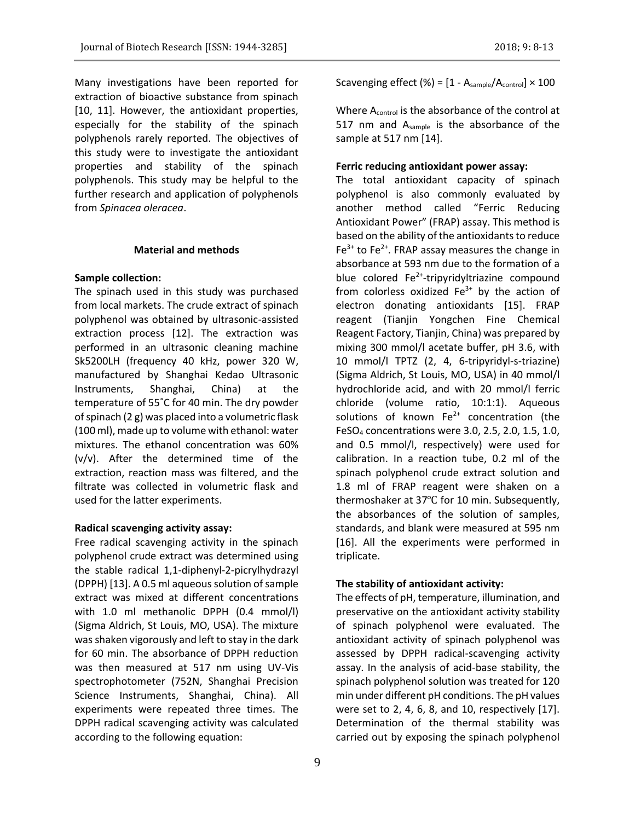Many investigations have been reported for extraction of bioactive substance from spinach [10, 11]. However, the antioxidant properties, especially for the stability of the spinach polyphenols rarely reported. The objectives of this study were to investigate the antioxidant properties and stability of the spinach polyphenols. This study may be helpful to the further research and application of polyphenols from *Spinacea oleracea*.

# **Material and methods**

## **Sample collection:**

The spinach used in this study was purchased from local markets. The crude extract of spinach polyphenol was obtained by ultrasonic-assisted extraction process [12]. The extraction was performed in an ultrasonic cleaning machine Sk5200LH (frequency 40 kHz, power 320 W, manufactured by Shanghai Kedao Ultrasonic Instruments, Shanghai, China) at the temperature of 55˚C for 40 min. The dry powder of spinach (2 g) was placed into a volumetric flask (100 ml), made up to volume with ethanol: water mixtures. The ethanol concentration was 60% (v/v). After the determined time of the extraction, reaction mass was filtered, and the filtrate was collected in volumetric flask and used for the latter experiments.

## **Radical scavenging activity assay:**

Free radical scavenging activity in the spinach polyphenol crude extract was determined using the stable radical 1,1-diphenyl-2-picrylhydrazyl (DPPH) [13]. A 0.5 ml aqueous solution of sample extract was mixed at different concentrations with 1.0 ml methanolic DPPH (0.4 mmol/l) (Sigma Aldrich, St Louis, MO, USA). The mixture was shaken vigorously and left to stay in the dark for 60 min. The absorbance of DPPH reduction was then measured at 517 nm using UV-Vis spectrophotometer (752N, Shanghai Precision Science Instruments, Shanghai, China). All experiments were repeated three times. The DPPH radical scavenging activity was calculated according to the following equation:

Scavenging effect (%) =  $[1 - A_{sample}/A_{control}] \times 100$ 

Where A<sub>control</sub> is the absorbance of the control at 517 nm and Asample is the absorbance of the sample at 517 nm [14].

## **Ferric reducing antioxidant power assay:**

The total antioxidant capacity of spinach polyphenol is also commonly evaluated by another method called "Ferric Reducing Antioxidant Power" (FRAP) assay. This method is based on the ability of the antioxidants to reduce  $Fe<sup>3+</sup>$  to Fe<sup>2+</sup>. FRAP assay measures the change in absorbance at 593 nm due to the formation of a blue colored Fe<sup>2+</sup>-tripyridyltriazine compound from colorless oxidized  $Fe<sup>3+</sup>$  by the action of electron donating antioxidants [15]. FRAP reagent (Tianjin Yongchen Fine Chemical Reagent Factory, Tianjin, China) was prepared by mixing 300 mmol/l acetate buffer, pH 3.6, with 10 mmol/l TPTZ (2, 4, 6-tripyridyl-s-triazine) (Sigma Aldrich, St Louis, MO, USA) in 40 mmol/l hydrochloride acid, and with 20 mmol/l ferric chloride (volume ratio, 10:1:1). Aqueous solutions of known  $Fe^{2+}$  concentration (the FeSO<sup>4</sup> concentrations were 3.0, 2.5, 2.0, 1.5, 1.0, and 0.5 mmol/l, respectively) were used for calibration. In a reaction tube, 0.2 ml of the spinach polyphenol crude extract solution and 1.8 ml of FRAP reagent were shaken on a thermoshaker at 37℃ for 10 min. Subsequently, the absorbances of the solution of samples, standards, and blank were measured at 595 nm [16]. All the experiments were performed in triplicate.

# **The stability of antioxidant activity:**

The effects of pH, temperature, illumination, and preservative on the antioxidant activity stability of spinach polyphenol were evaluated. The antioxidant activity of spinach polyphenol was assessed by DPPH radical-scavenging activity assay. In the analysis of acid-base stability, the spinach polyphenol solution was treated for 120 min under different pH conditions. The pH values were set to 2, 4, 6, 8, and 10, respectively [17]. Determination of the thermal stability was carried out by exposing the spinach polyphenol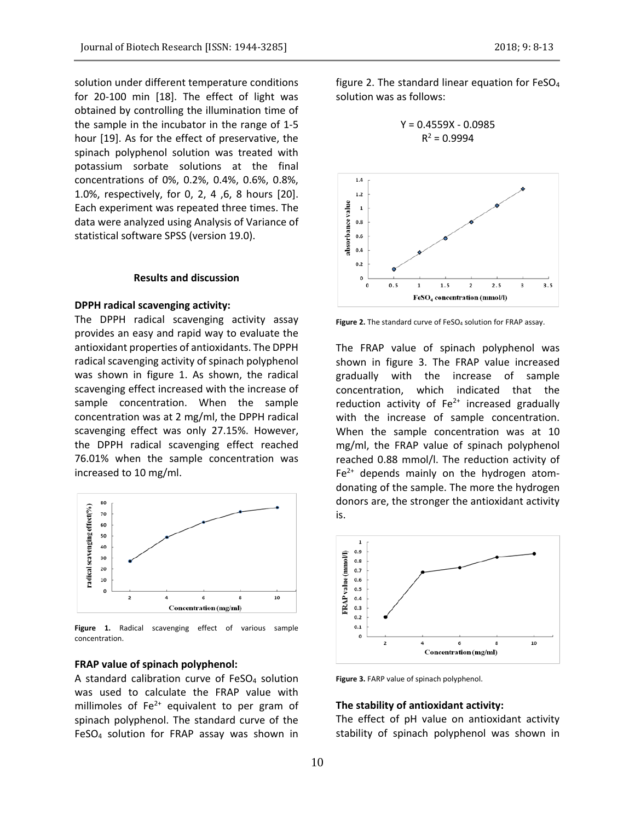solution under different temperature conditions for 20-100 min [18]. The effect of light was obtained by controlling the illumination time of the sample in the incubator in the range of 1-5 hour [19]. As for the effect of preservative, the spinach polyphenol solution was treated with potassium sorbate solutions at the final concentrations of 0%, 0.2%, 0.4%, 0.6%, 0.8%, 1.0%, respectively, for 0, 2, 4 ,6, 8 hours [20]. Each experiment was repeated three times. The data were analyzed using Analysis of Variance of statistical software SPSS (version 19.0).

## **Results and discussion**

#### **DPPH radical scavenging activity:**

The DPPH radical scavenging activity assay provides an easy and rapid way to evaluate the antioxidant properties of antioxidants. The DPPH radical scavenging activity of spinach polyphenol was shown in figure 1. As shown, the radical scavenging effect increased with the increase of sample concentration. When the sample concentration was at 2 mg/ml, the DPPH radical scavenging effect was only 27.15%. However, the DPPH radical scavenging effect reached 76.01% when the sample concentration was increased to 10 mg/ml.



**Figure 1.** Radical scavenging effect of various sample concentration.

## **FRAP value of spinach polyphenol:**

A standard calibration curve of FeSO<sup>4</sup> solution was used to calculate the FRAP value with millimoles of  $Fe<sup>2+</sup>$  equivalent to per gram of spinach polyphenol. The standard curve of the FeSO<sup>4</sup> solution for FRAP assay was shown in figure 2. The standard linear equation for  $FeSO<sub>4</sub>$ solution was as follows:

$$
Y = 0.4559X - 0.0985
$$

$$
R^2 = 0.9994
$$



Figure 2. The standard curve of FeSO<sub>4</sub> solution for FRAP assay.

The FRAP value of spinach polyphenol was shown in figure 3. The FRAP value increased gradually with the increase of sample concentration, which indicated that the reduction activity of  $Fe<sup>2+</sup>$  increased gradually with the increase of sample concentration. When the sample concentration was at 10 mg/ml, the FRAP value of spinach polyphenol reached 0.88 mmol/l. The reduction activity of  $Fe<sup>2+</sup>$  depends mainly on the hydrogen atomdonating of the sample. The more the hydrogen donors are, the stronger the antioxidant activity is.



**Figure 3.** FARP value of spinach polyphenol.

### **The stability of antioxidant activity:**

The effect of pH value on antioxidant activity stability of spinach polyphenol was shown in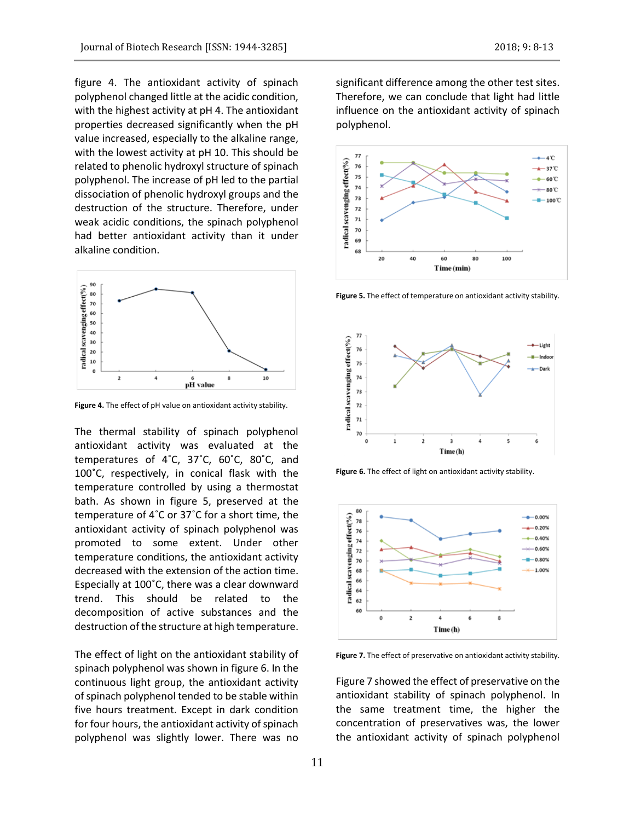figure 4. The antioxidant activity of spinach polyphenol changed little at the acidic condition, with the highest activity at pH 4. The antioxidant properties decreased significantly when the pH value increased, especially to the alkaline range, with the lowest activity at pH 10. This should be related to phenolic hydroxyl structure of spinach polyphenol. The increase of pH led to the partial dissociation of phenolic hydroxyl groups and the destruction of the structure. Therefore, under weak acidic conditions, the spinach polyphenol had better antioxidant activity than it under alkaline condition.



**Figure 4.** The effect of pH value on antioxidant activity stability.

The thermal stability of spinach polyphenol antioxidant activity was evaluated at the temperatures of 4˚C, 37˚C, 60˚C, 80˚C, and 100˚C, respectively, in conical flask with the temperature controlled by using a thermostat bath. As shown in figure 5, preserved at the temperature of 4˚C or 37˚C for a short time, the antioxidant activity of spinach polyphenol was promoted to some extent. Under other temperature conditions, the antioxidant activity decreased with the extension of the action time. Especially at 100˚C, there was a clear downward trend. This should be related to the decomposition of active substances and the destruction of the structure at high temperature.

The effect of light on the antioxidant stability of spinach polyphenol was shown in figure 6. In the continuous light group, the antioxidant activity of spinach polyphenol tended to be stable within five hours treatment. Except in dark condition for four hours, the antioxidant activity of spinach polyphenol was slightly lower. There was no significant difference among the other test sites. Therefore, we can conclude that light had little influence on the antioxidant activity of spinach polyphenol.



**Figure 5.** The effect of temperature on antioxidant activity stability.



**Figure 6.** The effect of light on antioxidant activity stability.



**Figure 7.** The effect of preservative on antioxidant activity stability.

Figure 7 showed the effect of preservative on the antioxidant stability of spinach polyphenol. In the same treatment time, the higher the concentration of preservatives was, the lower the antioxidant activity of spinach polyphenol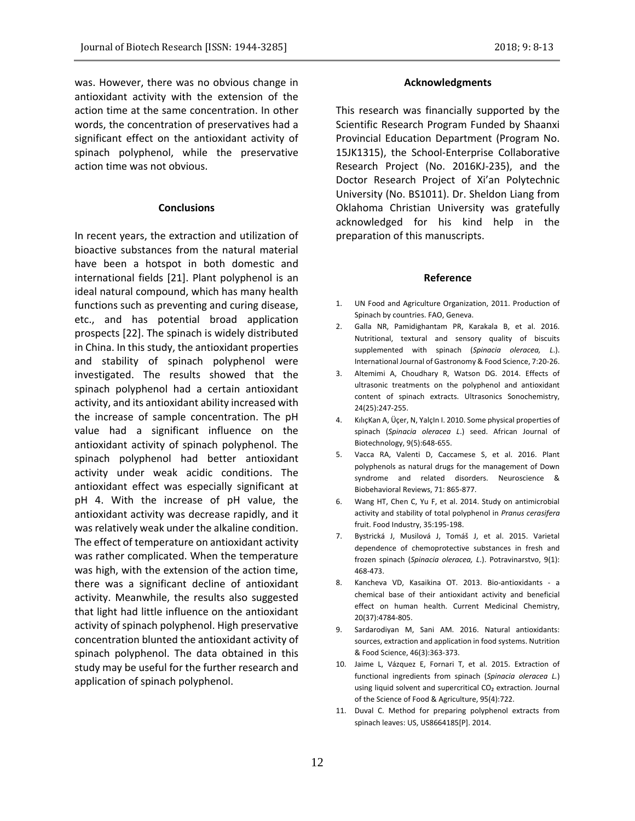was. However, there was no obvious change in antioxidant activity with the extension of the action time at the same concentration. In other words, the concentration of preservatives had a significant effect on the antioxidant activity of spinach polyphenol, while the preservative action time was not obvious.

#### **Conclusions**

In recent years, the extraction and utilization of bioactive substances from the natural material have been a hotspot in both domestic and international fields [21]. Plant polyphenol is an ideal natural compound, which has many health functions such as preventing and curing disease, etc., and has potential broad application prospects [22]. The spinach is widely distributed in China. In this study, the antioxidant properties and stability of spinach polyphenol were investigated. The results showed that the spinach polyphenol had a certain antioxidant activity, and its antioxidant ability increased with the increase of sample concentration. The pH value had a significant influence on the antioxidant activity of spinach polyphenol. The spinach polyphenol had better antioxidant activity under weak acidic conditions. The antioxidant effect was especially significant at pH 4. With the increase of pH value, the antioxidant activity was decrease rapidly, and it was relatively weak under the alkaline condition. The effect of temperature on antioxidant activity was rather complicated. When the temperature was high, with the extension of the action time, there was a significant decline of antioxidant activity. Meanwhile, the results also suggested that light had little influence on the antioxidant activity of spinach polyphenol. High preservative concentration blunted the antioxidant activity of spinach polyphenol. The data obtained in this study may be useful for the further research and application of spinach polyphenol.

## **Acknowledgments**

This research was financially supported by the Scientific Research Program Funded by Shaanxi Provincial Education Department (Program No. 15JK1315), the School-Enterprise Collaborative Research Project (No. 2016KJ-235), and the Doctor Research Project of Xi'an Polytechnic University (No. BS1011). Dr. Sheldon Liang from Oklahoma Christian University was gratefully acknowledged for his kind help in the preparation of this manuscripts.

#### **Reference**

- 1. UN Food and Agriculture Organization, 2011. Production of Spinach by countries. FAO, Geneva.
- 2. Galla NR, Pamidighantam PR, Karakala B, et al. 2016. Nutritional, textural and sensory quality of biscuits supplemented with spinach (*Spinacia oleracea, L*.). International Journal of Gastronomy & Food Science, 7:20-26.
- 3. Altemimi A, Choudhary R, Watson DG. 2014. Effects of ultrasonic treatments on the polyphenol and antioxidant content of spinach extracts. Ultrasonics Sonochemistry, 24(25):247-255.
- 4. KılıçKan A, Üçer, N, YalçIn I. 2010. Some physical properties of spinach (*Spinacia oleracea L*.) seed. African Journal of Biotechnology, 9(5):648-655.
- 5. Vacca RA, Valenti D, Caccamese S, et al. 2016. Plant polyphenols as natural drugs for the management of Down syndrome and related disorders. Neuroscience & Biobehavioral Reviews, 71: 865-877.
- 6. Wang HT, Chen C, Yu F, et al. 2014. Study on antimicrobial activity and stability of total polyphenol in *Pranus cerasifera* fruit. Food Industry, 35:195-198.
- 7. Bystrická J, Musilová J, Tomáš J, et al. 2015. Varietal dependence of chemoprotective substances in fresh and frozen spinach (*Spinacia oleracea, L*.). Potravinarstvo, 9(1): 468-473.
- 8. Kancheva VD, Kasaikina OT. 2013. Bio-antioxidants a chemical base of their antioxidant activity and beneficial effect on human health. Current Medicinal Chemistry, 20(37):4784-805.
- 9. Sardarodiyan M, Sani AM. 2016. Natural antioxidants: sources, extraction and application in food systems. Nutrition & Food Science, 46(3):363-373.
- 10. Jaime L, Vázquez E, Fornari T, et al. 2015. Extraction of functional ingredients from spinach (*Spinacia oleracea L.*) using liquid solvent and supercritical CO<sub>2</sub> extraction. Journal of the Science of Food & Agriculture, 95(4):722.
- 11. Duval C. Method for preparing polyphenol extracts from spinach leaves: US, US8664185[P]. 2014.